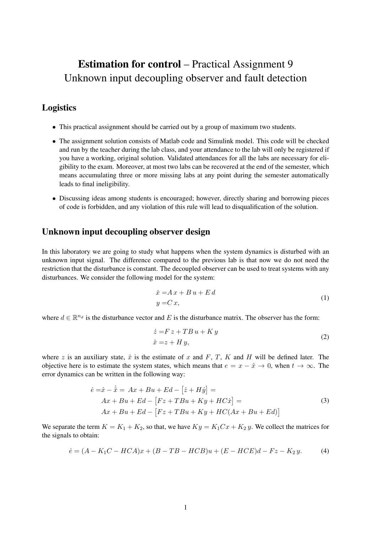# Estimation for control – Practical Assignment 9 Unknown input decoupling observer and fault detection

# Logistics

- This practical assignment should be carried out by a group of maximum two students.
- The assignment solution consists of Matlab code and Simulink model. This code will be checked and run by the teacher during the lab class, and your attendance to the lab will only be registered if you have a working, original solution. Validated attendances for all the labs are necessary for eligibility to the exam. Moreover, at most two labs can be recovered at the end of the semester, which means accumulating three or more missing labs at any point during the semester automatically leads to final ineligibility.
- Discussing ideas among students is encouraged; however, directly sharing and borrowing pieces of code is forbidden, and any violation of this rule will lead to disqualification of the solution.

## Unknown input decoupling observer design

In this laboratory we are going to study what happens when the system dynamics is disturbed with an unknown input signal. The difference compared to the previous lab is that now we do not need the restriction that the disturbance is constant. The decoupled observer can be used to treat systems with any disturbances. We consider the following model for the system:

$$
\begin{aligned} \n\dot{x} &= A \, x + B \, u + E \, d \\ \ny &= C \, x, \n\end{aligned} \tag{1}
$$

where  $d \in \mathbb{R}^{n_d}$  is the disturbance vector and E is the disturbance matrix. The observer has the form:

$$
\begin{aligned}\n\dot{z} &= F z + T B u + K y \\
\hat{x} &= z + H y,\n\end{aligned}\n\tag{2}
$$

where z is an auxiliary state,  $\hat{x}$  is the estimate of x and F, T, K and H will be defined later. The objective here is to estimate the system states, which means that  $e = x - \hat{x} \to 0$ , when  $t \to \infty$ . The error dynamics can be written in the following way:

$$
\begin{aligned}\n\dot{e} &= \dot{x} - \dot{\hat{x}} = Ax + Bu + Ed - [\dot{z} + H\dot{y}] = \\
Ax + Bu + Ed - [Fz + TBu + Ky + HC\dot{x}] = \\
Ax + Bu + Ed - [Fz + TBu + Ky + HC(Ax + Bu + Ed)]\n\end{aligned} \tag{3}
$$

We separate the term  $K = K_1 + K_2$ , so that, we have  $Ky = K_1Cx + K_2y$ . We collect the matrices for the signals to obtain:

$$
\dot{e} = (A - K_1C - HCA)x + (B - TB - HCB)u + (E - HCE)d - Fz - K_2y.
$$
 (4)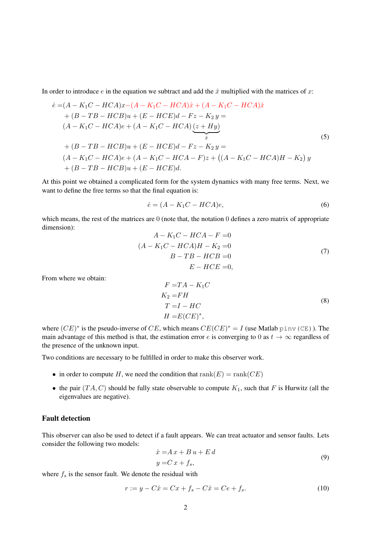In order to introduce e in the equation we subtract and add the  $\hat{x}$  multiplied with the matrices of x:

$$
\dot{e} = (A - K_1C - HCA)x - (A - K_1C - HCA)\hat{x} + (A - K_1C - HCA)\hat{x} \n+ (B - TB - HCB)u + (E - HCE)d - Fz - K_2 y = \n(A - K_1C - HCA)e + (A - K_1C - HCA)\underbrace{(z + Hy)}_{\hat{x}}\n+ (B - TB - HCB)u + (E - HCE)d - Fz - K_2 y = \n(A - K_1C - HCA)e + (A - K_1C - HCA - F)z + ((A - K_1C - HCA)H - K_2) y \n+ (B - TB - HCB)u + (E - HCE)d.
$$
\n(5)

At this point we obtained a complicated form for the system dynamics with many free terms. Next, we want to define the free terms so that the final equation is:

<span id="page-1-0"></span>
$$
\dot{e} = (A - K_1 C - HCA)e,\tag{6}
$$

which means, the rest of the matrices are 0 (note that, the notation 0 defines a zero matrix of appropriate dimension):

$$
A - K_1C - HCA - F = 0
$$
  
\n
$$
(A - K_1C - HCA)H - K_2 = 0
$$
  
\n
$$
B - TB - HCB = 0
$$
  
\n
$$
E - HCE = 0,
$$
\n(7)

From where we obtain:

<span id="page-1-1"></span>
$$
F = TA - K_1C
$$
  
\n
$$
K_2 = FH
$$
  
\n
$$
T = I - HC
$$
  
\n
$$
H = E(CE)^*,
$$
  
\n(8)

where  $(CE)^*$  is the pseudo-inverse of CE, which means  $CE(CE)^* = I$  (use Matlab pinv (CE)). The main advantage of this method is that, the estimation error e is converging to 0 as  $t \to \infty$  regardless of the presence of the unknown input.

Two conditions are necessary to be fulfilled in order to make this observer work.

- in order to compute H, we need the condition that  $rank(E) = rank(CE)$
- the pair  $(T A, C)$  should be fully state observable to compute  $K_1$ , such that F is Hurwitz (all the eigenvalues are negative).

## Fault detection

This observer can also be used to detect if a fault appears. We can treat actuator and sensor faults. Lets consider the following two models:

$$
\begin{aligned}\n\dot{x} &= A\,x + B\,u + E\,d \\
y &= C\,x + f_s,\n\end{aligned} \tag{9}
$$

where  $f_s$  is the sensor fault. We denote the residual with

$$
r := y - C\hat{x} = Cx + f_s - C\hat{x} = Ce + f_s.
$$
 (10)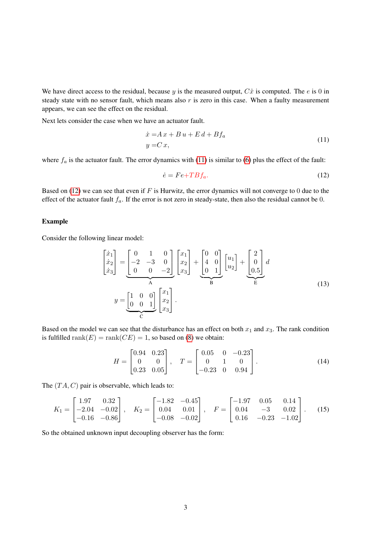We have direct access to the residual, because y is the measured output,  $C\hat{x}$  is computed. The e is 0 in steady state with no sensor fault, which means also  $r$  is zero in this case. When a faulty measurement appears, we can see the effect on the residual.

Next lets consider the case when we have an actuator fault.

<span id="page-2-0"></span>
$$
\begin{aligned} \n\dot{x} &= A\,x + B\,u + E\,d + Bf_a \\ \ny &= C\,x, \n\end{aligned} \tag{11}
$$

where  $f_a$  is the actuator fault. The error dynamics with [\(11\)](#page-2-0) is similar to [\(6\)](#page-1-0) plus the effect of the fault:

<span id="page-2-1"></span>
$$
\dot{e} = Fe + TBf_a. \tag{12}
$$

Based on [\(12\)](#page-2-1) we can see that even if  $F$  is Hurwitz, the error dynamics will not converge to 0 due to the effect of the actuator fault  $f_a$ . If the error is not zero in steady-state, then also the residual cannot be 0.

#### Example

Consider the following linear model:

$$
\begin{bmatrix} \dot{x}_1 \\ \dot{x}_2 \\ \dot{x}_3 \end{bmatrix} = \underbrace{\begin{bmatrix} 0 & 1 & 0 \\ -2 & -3 & 0 \\ 0 & 0 & -2 \end{bmatrix}}_{\mathbf{A}} \underbrace{\begin{bmatrix} x_1 \\ x_2 \\ x_3 \end{bmatrix}}_{\mathbf{B}} + \underbrace{\begin{bmatrix} 0 & 0 \\ 4 & 0 \\ 0 & 1 \end{bmatrix}}_{\mathbf{B}} \underbrace{\begin{bmatrix} u_1 \\ u_2 \end{bmatrix}}_{\mathbf{E}} + \underbrace{\begin{bmatrix} 2 \\ 0 \\ 0.5 \end{bmatrix}}_{\mathbf{E}} d
$$
\n
$$
y = \underbrace{\begin{bmatrix} 1 & 0 & 0 \\ 0 & 0 & 1 \end{bmatrix}}_{\mathbf{C}} \begin{bmatrix} x_1 \\ x_2 \\ x_3 \end{bmatrix}.
$$
\n(13)

Based on the model we can see that the disturbance has an effect on both  $x_1$  and  $x_3$ . The rank condition is fulfilled rank $(E) = \text{rank}(CE) = 1$ , so based on [\(8\)](#page-1-1) we obtain:

$$
H = \begin{bmatrix} 0.94 & 0.23 \\ 0 & 0 \\ 0.23 & 0.05 \end{bmatrix}, \quad T = \begin{bmatrix} 0.05 & 0 & -0.23 \\ 0 & 1 & 0 \\ -0.23 & 0 & 0.94 \end{bmatrix}.
$$
 (14)

The  $(T A, C)$  pair is observable, which leads to:

$$
K_1 = \begin{bmatrix} 1.97 & 0.32 \\ -2.04 & -0.02 \\ -0.16 & -0.86 \end{bmatrix}, \quad K_2 = \begin{bmatrix} -1.82 & -0.45 \\ 0.04 & 0.01 \\ -0.08 & -0.02 \end{bmatrix}, \quad F = \begin{bmatrix} -1.97 & 0.05 & 0.14 \\ 0.04 & -3 & 0.02 \\ 0.16 & -0.23 & -1.02 \end{bmatrix}. \quad (15)
$$

So the obtained unknown input decoupling observer has the form: